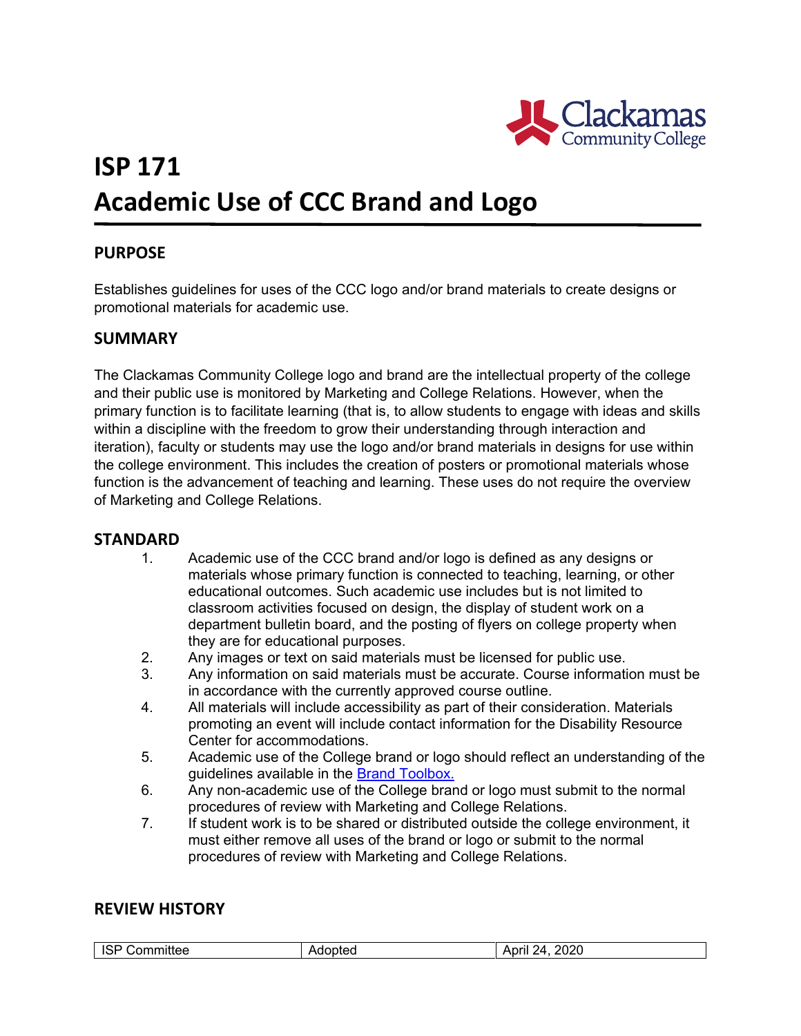

# **ISP 171 Academic Use of CCC Brand and Logo**

# **PURPOSE**

Establishes guidelines for uses of the CCC logo and/or brand materials to create designs or promotional materials for academic use.

## **SUMMARY**

The Clackamas Community College logo and brand are the intellectual property of the college and their public use is monitored by Marketing and College Relations. However, when the primary function is to facilitate learning (that is, to allow students to engage with ideas and skills within a discipline with the freedom to grow their understanding through interaction and iteration), faculty or students may use the logo and/or brand materials in designs for use within the college environment. This includes the creation of posters or promotional materials whose function is the advancement of teaching and learning. These uses do not require the overview of Marketing and College Relations.

### **STANDARD**

- 1. Academic use of the CCC brand and/or logo is defined as any designs or materials whose primary function is connected to teaching, learning, or other educational outcomes. Such academic use includes but is not limited to classroom activities focused on design, the display of student work on a department bulletin board, and the posting of flyers on college property when they are for educational purposes.
- 2. Any images or text on said materials must be licensed for public use.
- 3. Any information on said materials must be accurate. Course information must be in accordance with the currently approved course outline.
- 4. All materials will include accessibility as part of their consideration. Materials promoting an event will include contact information for the Disability Resource Center for accommodations.
- 5. Academic use of the College brand or logo should reflect an understanding of the guidelines available in the [Brand Toolbox.](http://wcmsprod.clackamas.edu/Internal/BrandToolbox/)
- 6. Any non-academic use of the College brand or logo must submit to the normal procedures of review with Marketing and College Relations.
- 7. If student work is to be shared or distributed outside the college environment, it must either remove all uses of the brand or logo or submit to the normal procedures of review with Marketing and College Relations.

### **REVIEW HISTORY**

| nmmittee<br>. .<br>.<br>________ | 11 F | 2020<br>λЛ.<br>.<br>۱N.<br>_____ |
|----------------------------------|------|----------------------------------|
|----------------------------------|------|----------------------------------|